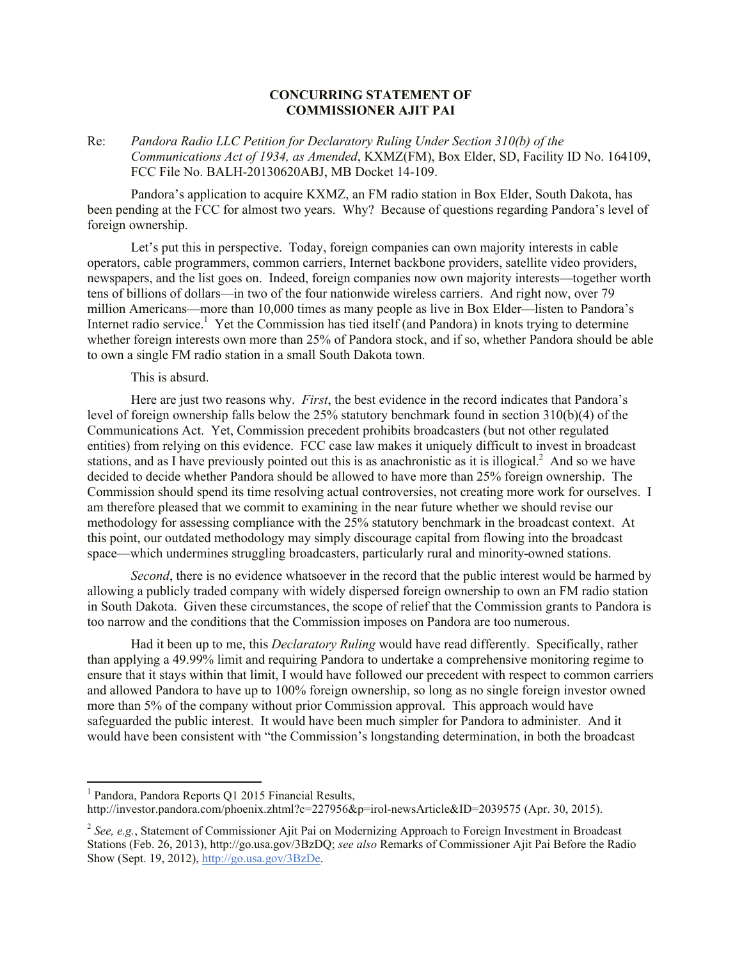## **CONCURRING STATEMENT OF COMMISSIONER AJIT PAI**

Re: *Pandora Radio LLC Petition for Declaratory Ruling Under Section 310(b) of the Communications Act of 1934, as Amended*, KXMZ(FM), Box Elder, SD, Facility ID No. 164109, FCC File No. BALH-20130620ABJ, MB Docket 14-109.

Pandora's application to acquire KXMZ, an FM radio station in Box Elder, South Dakota, has been pending at the FCC for almost two years. Why? Because of questions regarding Pandora's level of foreign ownership.

Let's put this in perspective. Today, foreign companies can own majority interests in cable operators, cable programmers, common carriers, Internet backbone providers, satellite video providers, newspapers, and the list goes on. Indeed, foreign companies now own majority interests—together worth tens of billions of dollars—in two of the four nationwide wireless carriers. And right now, over 79 million Americans—more than 10,000 times as many people as live in Box Elder—listen to Pandora's Internet radio service.<sup>1</sup> Yet the Commission has tied itself (and Pandora) in knots trying to determine whether foreign interests own more than 25% of Pandora stock, and if so, whether Pandora should be able to own a single FM radio station in a small South Dakota town.

## This is absurd.

Here are just two reasons why. *First*, the best evidence in the record indicates that Pandora's level of foreign ownership falls below the 25% statutory benchmark found in section 310(b)(4) of the Communications Act. Yet, Commission precedent prohibits broadcasters (but not other regulated entities) from relying on this evidence. FCC case law makes it uniquely difficult to invest in broadcast stations, and as I have previously pointed out this is as anachronistic as it is illogical.<sup>2</sup> And so we have decided to decide whether Pandora should be allowed to have more than 25% foreign ownership. The Commission should spend its time resolving actual controversies, not creating more work for ourselves. I am therefore pleased that we commit to examining in the near future whether we should revise our methodology for assessing compliance with the 25% statutory benchmark in the broadcast context. At this point, our outdated methodology may simply discourage capital from flowing into the broadcast space—which undermines struggling broadcasters, particularly rural and minority-owned stations.

*Second*, there is no evidence whatsoever in the record that the public interest would be harmed by allowing a publicly traded company with widely dispersed foreign ownership to own an FM radio station in South Dakota. Given these circumstances, the scope of relief that the Commission grants to Pandora is too narrow and the conditions that the Commission imposes on Pandora are too numerous.

Had it been up to me, this *Declaratory Ruling* would have read differently. Specifically, rather than applying a 49.99% limit and requiring Pandora to undertake a comprehensive monitoring regime to ensure that it stays within that limit, I would have followed our precedent with respect to common carriers and allowed Pandora to have up to 100% foreign ownership, so long as no single foreign investor owned more than 5% of the company without prior Commission approval. This approach would have safeguarded the public interest. It would have been much simpler for Pandora to administer. And it would have been consistent with "the Commission's longstanding determination, in both the broadcast

 1 Pandora, Pandora Reports Q1 2015 Financial Results,

http://investor.pandora.com/phoenix.zhtml?c=227956&p=irol-newsArticle&ID=2039575 (Apr. 30, 2015).

<sup>&</sup>lt;sup>2</sup> See, e.g., Statement of Commissioner Ajit Pai on Modernizing Approach to Foreign Investment in Broadcast Stations (Feb. 26, 2013), http://go.usa.gov/3BzDQ; *see also* Remarks of Commissioner Ajit Pai Before the Radio Show (Sept. 19, 2012), http://go.usa.gov/3BzDe.